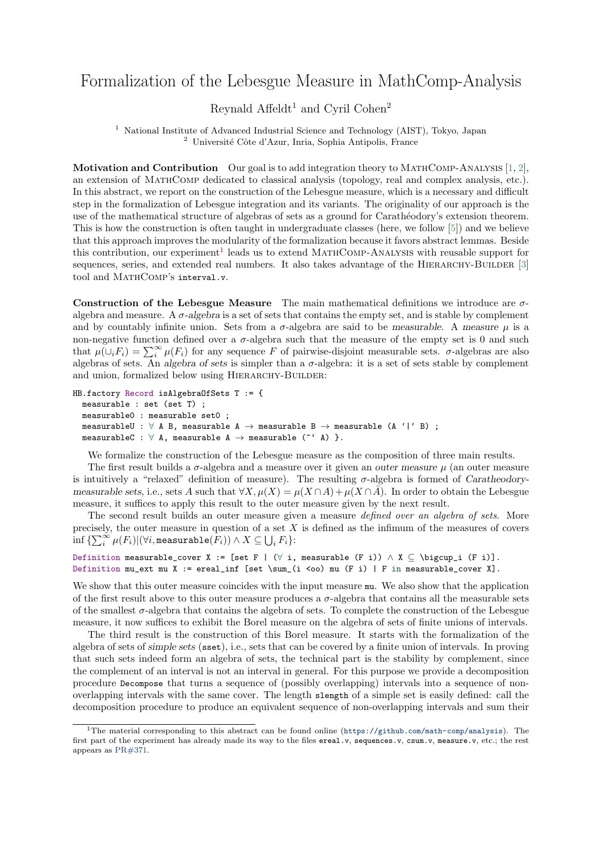## Formalization of the Lebesgue Measure in MathComp-Analysis

## Reynald Affeldt<sup>1</sup> and Cyril Cohen<sup>2</sup>

<sup>1</sup> National Institute of Advanced Industrial Science and Technology (AIST), Tokyo, Japan <sup>2</sup> Université Côte d'Azur, Inria, Sophia Antipolis, France

**Motivation and Contribution** Our goal is to add integration theory to MATHCOMP-ANALYSIS  $[1, 2]$  $[1, 2]$  $[1, 2]$ , an extension of MathComp dedicated to classical analysis (topology, real and complex analysis, etc.). In this abstract, we report on the construction of the Lebesgue measure, which is a necessary and difficult step in the formalization of Lebesgue integration and its variants. The originality of our approach is the use of the mathematical structure of algebras of sets as a ground for Carathéodory's extension theorem. This is how the construction is often taught in undergraduate classes (here, we follow [\[5\]](#page-1-2)) and we believe that this approach improves the modularity of the formalization because it favors abstract lemmas. Beside this contribution, our experiment<sup>[1](#page-0-0)</sup> leads us to extend MATHCOMP-ANALYSIS with reusable support for sequences, series, and extended real numbers. It also takes advantage of the HIERARCHY-BUILDER [\[3\]](#page-1-3) tool and MATHCOMP's interval.v.

Construction of the Lebesgue Measure The main mathematical definitions we introduce are  $\sigma$ algebra and measure. A  $\sigma$ -algebra is a set of sets that contains the empty set, and is stable by complement and by countably infinite union. Sets from a  $\sigma$ -algebra are said to be measurable. A measure  $\mu$  is a non-negative function defined over a  $\sigma$ -algebra such that the measure of the empty set is 0 and such that  $\mu(\cup_i F_i) = \sum_i^{\infty} \mu(F_i)$  for any sequence F of pairwise-disjoint measurable sets.  $\sigma$ -algebras are also algebras of sets. An algebra of sets is simpler than a σ-algebra: it is a set of sets stable by complement and union, formalized below using HIERARCHY-BUILDER:

```
HB.factory Record isAlgebraOfSets T := {
  measurable : set (set T) ;
  measurable0 : measurable set0 ;
  measurableU : \forall A B, measurable A \rightarrow measurable B \rightarrow measurable (A '|' B) ;
  measurableC : \forall A, measurable A \rightarrow measurable (\check{ } A) }.
```
We formalize the construction of the Lebesgue measure as the composition of three main results.

The first result builds a  $\sigma$ -algebra and a measure over it given an outer measure  $\mu$  (an outer measure is intuitively a "relaxed" definition of measure). The resulting  $\sigma$ -algebra is formed of Caratheodorymeasurable sets, i.e., sets A such that  $\forall X, \mu(X) = \mu(X \cap A) + \mu(X \cap \overline{A})$ . In order to obtain the Lebesgue measure, it suffices to apply this result to the outer measure given by the next result.

The second result builds an outer measure given a measure *defined over an algebra of sets*. More precisely, the outer measure in question of a set  $X$  is defined as the infimum of the measures of covers  $\inf\, \{ \sum_i^\infty \mu(F_i) | (\forall i, \texttt{measurable}(\tilde{F}_i)) \wedge X \subseteq \bigcup_i F_i \} \colon$ 

```
Definition measurable_cover X := [set F | (\forall i, measurable (F i)) \land X \subseteq \bigcup_i (F i)].
Definition mu_ext mu X := ereal_inf [set \sum_(i <oo) mu (F i) | F in measurable_cover X].
```
We show that this outer measure coincides with the input measure  $mu$ . We also show that the application of the first result above to this outer measure produces a  $\sigma$ -algebra that contains all the measurable sets of the smallest σ-algebra that contains the algebra of sets. To complete the construction of the Lebesgue measure, it now suffices to exhibit the Borel measure on the algebra of sets of finite unions of intervals.

The third result is the construction of this Borel measure. It starts with the formalization of the algebra of sets of simple sets (sset), i.e., sets that can be covered by a finite union of intervals. In proving that such sets indeed form an algebra of sets, the technical part is the stability by complement, since the complement of an interval is not an interval in general. For this purpose we provide a decomposition procedure Decompose that turns a sequence of (possibly overlapping) intervals into a sequence of nonoverlapping intervals with the same cover. The length slength of a simple set is easily defined: call the decomposition procedure to produce an equivalent sequence of non-overlapping intervals and sum their

<span id="page-0-0"></span><sup>1</sup>The material corresponding to this abstract can be found online (<https://github.com/math-comp/analysis>). The first part of the experiment has already made its way to the files ereal.v, sequences.v, csum.v, measure.v, etc.; the rest appears as [PR#371.](https://github.com/math-comp/analysis/pull/371)